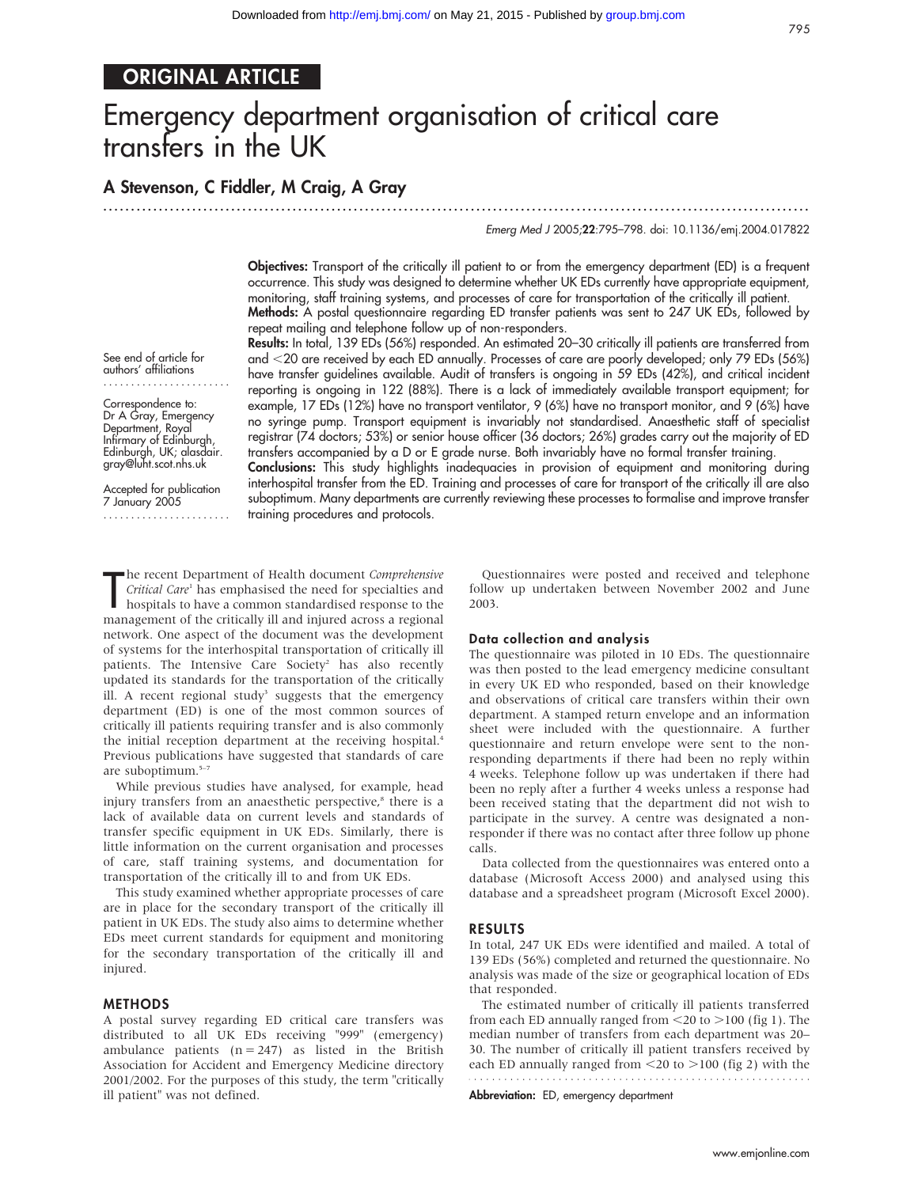# ORIGINAL ARTICLE

# Emergency department organisation of critical care transfers in the UK

A Stevenson, C Fiddler, M Craig, A Gray

...............................................................................................................................

Emerg Med J 2005;22:795–798. doi: 10.1136/emj.2004.017822

Objectives: Transport of the critically ill patient to or from the emergency department (ED) is a frequent occurrence. This study was designed to determine whether UK EDs currently have appropriate equipment, monitoring, staff training systems, and processes of care for transportation of the critically ill patient. Methods: A postal questionnaire regarding ED transfer patients was sent to 247 UK EDs, followed by repeat mailing and telephone follow up of non-responders.

See end of article for authors' affiliations .......................

Correspondence to: Dr A Gray, Emergency Department, Royal Infirmary of Edinburgh, Edinburgh, UK; alasdair. gray@luht.scot.nhs.uk

Accepted for publication 7 January 2005 ....................... Results: In total, 139 EDs (56%) responded. An estimated 20–30 critically ill patients are transferred from and ,20 are received by each ED annually. Processes of care are poorly developed; only 79 EDs (56%) have transfer guidelines available. Audit of transfers is ongoing in 59 EDs (42%), and critical incident reporting is ongoing in 122 (88%). There is a lack of immediately available transport equipment; for example, 17 EDs (12%) have no transport ventilator, 9 (6%) have no transport monitor, and 9 (6%) have no syringe pump. Transport equipment is invariably not standardised. Anaesthetic staff of specialist registrar (74 doctors; 53%) or senior house officer (36 doctors; 26%) grades carry out the majority of ED transfers accompanied by a D or E grade nurse. Both invariably have no formal transfer training.

Conclusions: This study highlights inadequacies in provision of equipment and monitoring during interhospital transfer from the ED. Training and processes of care for transport of the critically ill are also suboptimum. Many departments are currently reviewing these processes to formalise and improve transfer training procedures and protocols.

The recent Department of Health document *Comprehensive*<br>Critical Care<sup>1</sup> has emphasised the need for specialties and<br>hospitals to have a common standardised response to the<br>management of the critically ill and injured acr he recent Department of Health document Comprehensive Critical Care<sup>1</sup> has emphasised the need for specialties and hospitals to have a common standardised response to the network. One aspect of the document was the development of systems for the interhospital transportation of critically ill patients. The Intensive Care Society<sup>2</sup> has also recently updated its standards for the transportation of the critically ill. A recent regional study<sup>3</sup> suggests that the emergency department (ED) is one of the most common sources of critically ill patients requiring transfer and is also commonly the initial reception department at the receiving hospital.<sup>4</sup> Previous publications have suggested that standards of care are suboptimum.<sup>5-7</sup>

While previous studies have analysed, for example, head injury transfers from an anaesthetic perspective, $s$  there is a lack of available data on current levels and standards of transfer specific equipment in UK EDs. Similarly, there is little information on the current organisation and processes of care, staff training systems, and documentation for transportation of the critically ill to and from UK EDs.

This study examined whether appropriate processes of care are in place for the secondary transport of the critically ill patient in UK EDs. The study also aims to determine whether EDs meet current standards for equipment and monitoring for the secondary transportation of the critically ill and injured.

# METHODS

A postal survey regarding ED critical care transfers was distributed to all UK EDs receiving "999" (emergency) ambulance patients  $(n = 247)$  as listed in the British Association for Accident and Emergency Medicine directory 2001/2002. For the purposes of this study, the term "critically ill patient" was not defined.

Questionnaires were posted and received and telephone follow up undertaken between November 2002 and June 2003.

# Data collection and analysis

The questionnaire was piloted in 10 EDs. The questionnaire was then posted to the lead emergency medicine consultant in every UK ED who responded, based on their knowledge and observations of critical care transfers within their own department. A stamped return envelope and an information sheet were included with the questionnaire. A further questionnaire and return envelope were sent to the nonresponding departments if there had been no reply within 4 weeks. Telephone follow up was undertaken if there had been no reply after a further 4 weeks unless a response had been received stating that the department did not wish to participate in the survey. A centre was designated a nonresponder if there was no contact after three follow up phone calls.

Data collected from the questionnaires was entered onto a database (Microsoft Access 2000) and analysed using this database and a spreadsheet program (Microsoft Excel 2000).

## RESULTS

In total, 247 UK EDs were identified and mailed. A total of 139 EDs (56%) completed and returned the questionnaire. No analysis was made of the size or geographical location of EDs that responded.

The estimated number of critically ill patients transferred from each ED annually ranged from  $\leq$ 20 to  $>$ 100 (fig 1). The median number of transfers from each department was 20– 30. The number of critically ill patient transfers received by each ED annually ranged from  $\leq$ 20 to  $>$ 100 (fig 2) with the 

Abbreviation: ED, emergency department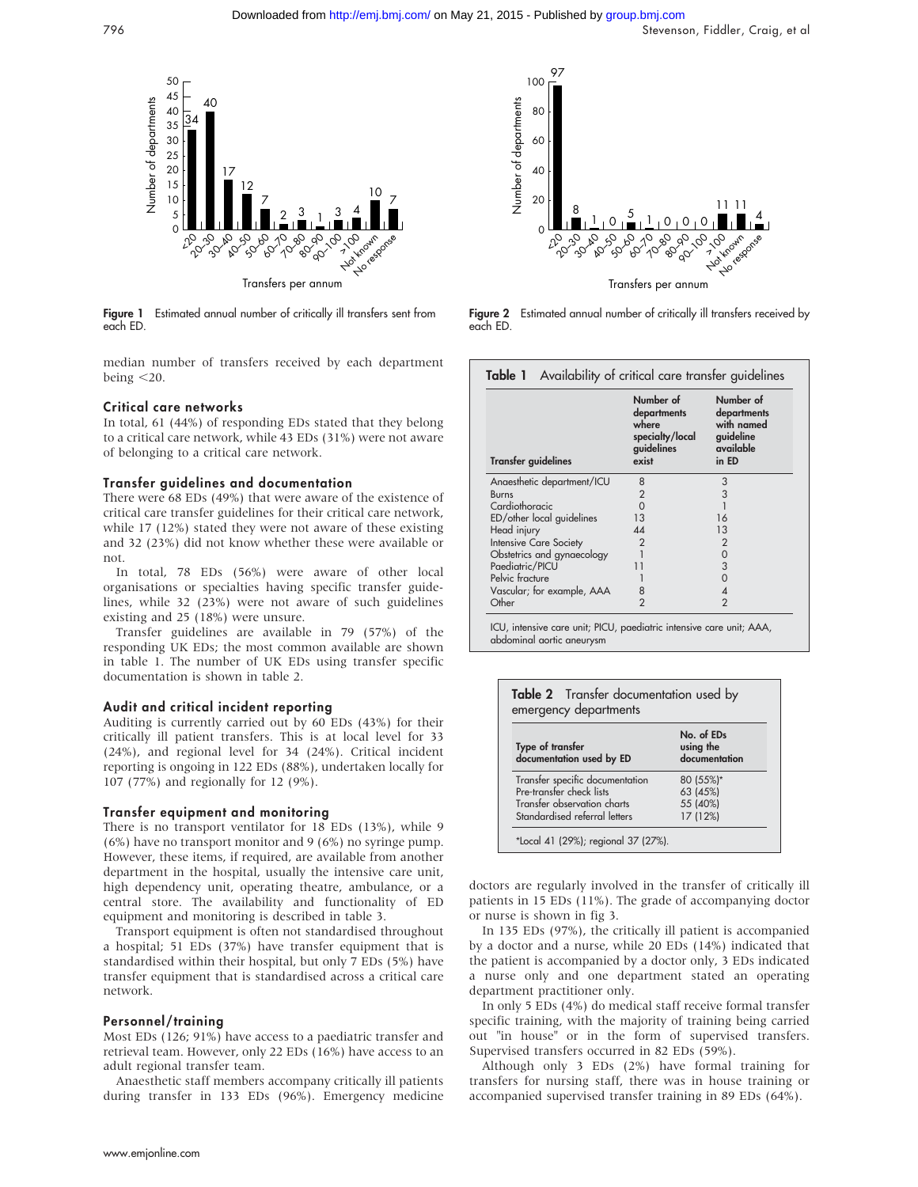

Figure 1 Estimated annual number of critically ill transfers sent from each ED.

median number of transfers received by each department being  $<$ 20.

## Critical care networks

In total, 61 (44%) of responding EDs stated that they belong to a critical care network, while 43 EDs (31%) were not aware of belonging to a critical care network.

#### Transfer guidelines and documentation

There were 68 EDs (49%) that were aware of the existence of critical care transfer guidelines for their critical care network, while 17 (12%) stated they were not aware of these existing and 32 (23%) did not know whether these were available or not.

In total, 78 EDs (56%) were aware of other local organisations or specialties having specific transfer guidelines, while 32 (23%) were not aware of such guidelines existing and 25 (18%) were unsure.

Transfer guidelines are available in 79 (57%) of the responding UK EDs; the most common available are shown in table 1. The number of UK EDs using transfer specific documentation is shown in table 2.

#### Audit and critical incident reporting

Auditing is currently carried out by 60 EDs (43%) for their critically ill patient transfers. This is at local level for 33 (24%), and regional level for 34 (24%). Critical incident reporting is ongoing in 122 EDs (88%), undertaken locally for 107 (77%) and regionally for 12 (9%).

#### Transfer equipment and monitoring

There is no transport ventilator for 18 EDs (13%), while 9 (6%) have no transport monitor and 9 (6%) no syringe pump. However, these items, if required, are available from another department in the hospital, usually the intensive care unit, high dependency unit, operating theatre, ambulance, or a central store. The availability and functionality of ED equipment and monitoring is described in table 3.

Transport equipment is often not standardised throughout a hospital; 51 EDs (37%) have transfer equipment that is standardised within their hospital, but only 7 EDs (5%) have transfer equipment that is standardised across a critical care network.

# Personnel/training

Most EDs (126; 91%) have access to a paediatric transfer and retrieval team. However, only 22 EDs (16%) have access to an adult regional transfer team.

Anaesthetic staff members accompany critically ill patients during transfer in 133 EDs (96%). Emergency medicine



Figure 2 Estimated annual number of critically ill transfers received by each ED.

| <b>Transfer guidelines</b>    | Number of<br>departments<br>where<br>specialty/local<br>guidelines<br>exist | Number of<br>departments<br>with named<br>guideline<br>available<br>in ED |
|-------------------------------|-----------------------------------------------------------------------------|---------------------------------------------------------------------------|
| Anaesthetic department/ICU    | 8                                                                           | 3                                                                         |
| <b>Burns</b>                  | $\overline{2}$                                                              | 3                                                                         |
| Cardiothoracic                | $\Omega$                                                                    |                                                                           |
| ED/other local guidelines     | 13                                                                          | 16                                                                        |
| Head injury                   | 44                                                                          | 13                                                                        |
| <b>Intensive Care Society</b> | $\overline{2}$                                                              | $\overline{2}$                                                            |
| Obstetrics and gynaecology    |                                                                             | $\overline{0}$                                                            |
| Paediatric/PICU               | 11                                                                          | 3                                                                         |
| Pelvic fracture               |                                                                             | $\Omega$                                                                  |
| Vascular; for example, AAA    | 8                                                                           |                                                                           |
| Other                         | $\mathcal{P}$                                                               | $\mathfrak{p}$                                                            |

| Type of transfer<br>documentation used by ED | No. of EDs<br>using the<br>documentation |
|----------------------------------------------|------------------------------------------|
| Transfer specific documentation              | 80 (55%)*                                |
| Pre-transfer check lists                     | 63 (45%)                                 |
| Transfer observation charts                  | 55 (40%)                                 |
| Standardised referral letters                | 17 (12%)                                 |

abdominal aortic aneurysm

doctors are regularly involved in the transfer of critically ill patients in 15 EDs (11%). The grade of accompanying doctor or nurse is shown in fig 3.

In 135 EDs (97%), the critically ill patient is accompanied by a doctor and a nurse, while 20 EDs (14%) indicated that the patient is accompanied by a doctor only, 3 EDs indicated a nurse only and one department stated an operating department practitioner only.

In only 5 EDs (4%) do medical staff receive formal transfer specific training, with the majority of training being carried out "in house" or in the form of supervised transfers. Supervised transfers occurred in 82 EDs (59%).

Although only 3 EDs (2%) have formal training for transfers for nursing staff, there was in house training or accompanied supervised transfer training in 89 EDs (64%).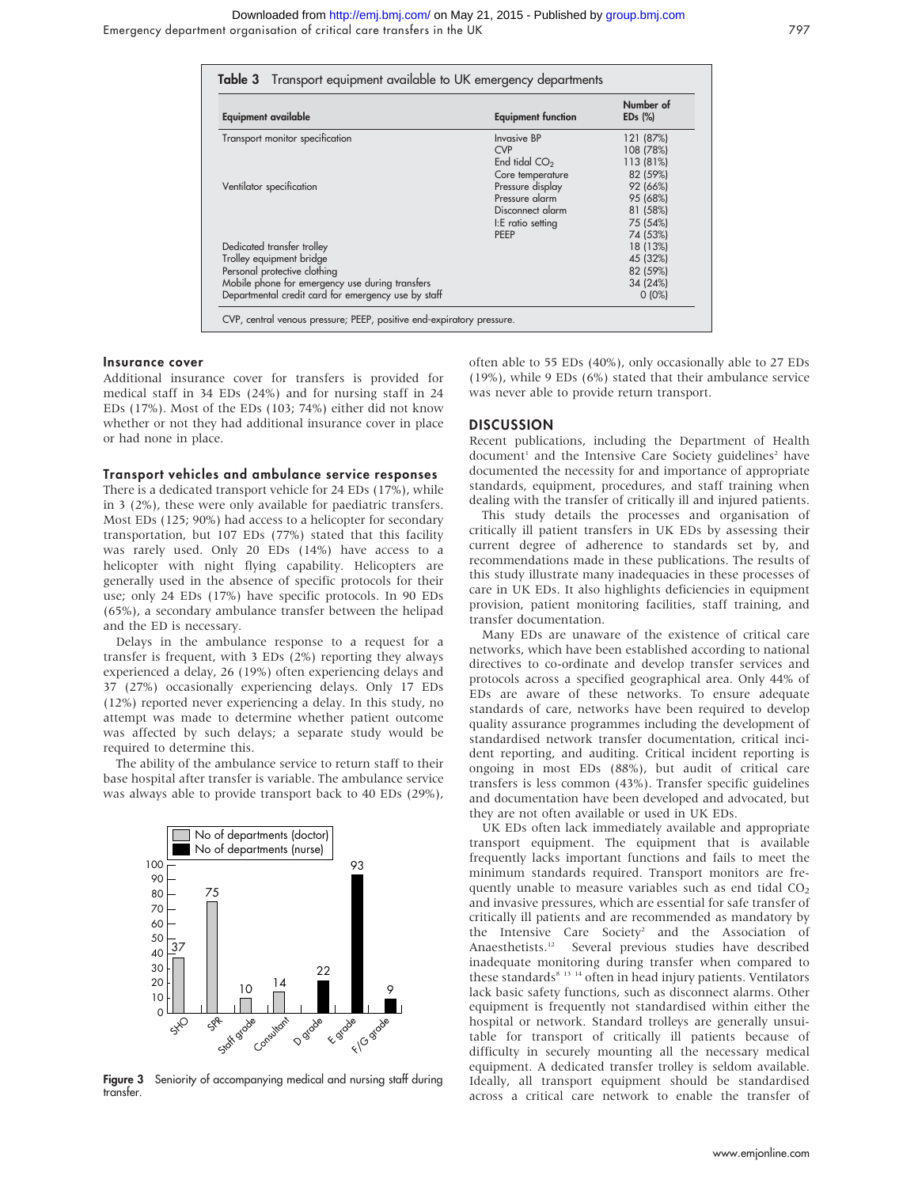Emergency department organisation of critical care transfers in the UK 797

| Equipment available                                 | <b>Equipment function</b> | Number of<br>$EDs$ $(\%)$ |
|-----------------------------------------------------|---------------------------|---------------------------|
| Transport monitor specification                     | <b>Invasive BP</b>        | 121 (87%)                 |
|                                                     | <b>CVP</b>                | 108 (78%)                 |
|                                                     | End tidal $CO2$           | 113 (81%)                 |
|                                                     | Core temperature          | 82 (59%)                  |
| Ventilator specification                            | Pressure display          | 92 (66%)                  |
|                                                     | Pressure alarm            | 95 (68%)                  |
|                                                     | Disconnect alarm          | 81 (58%)                  |
|                                                     | I:E ratio setting         | 75 (54%)                  |
|                                                     | <b>PEEP</b>               | 74 (53%)                  |
| Dedicated transfer trolley                          |                           | 18 (13%)                  |
| Trolley equipment bridge                            |                           | 45 (32%)                  |
| Personal protective clothing                        |                           | 82 (59%)                  |
| Mobile phone for emergency use during transfers     |                           | 34 (24%)                  |
| Departmental credit card for emergency use by staff |                           | $0(0\%)$                  |

# Insurance cover

Additional insurance cover for transfers is provided for medical staff in 34 EDs (24%) and for nursing staff in 24 EDs (17%). Most of the EDs (103; 74%) either did not know whether or not they had additional insurance cover in place or had none in place.

## Transport vehicles and ambulance service responses

There is a dedicated transport vehicle for 24 EDs (17%), while in 3 (2%), these were only available for paediatric transfers. Most EDs (125; 90%) had access to a helicopter for secondary transportation, but 107 EDs (77%) stated that this facility was rarely used. Only 20 EDs (14%) have access to a helicopter with night flying capability. Helicopters are generally used in the absence of specific protocols for their use; only 24 EDs (17%) have specific protocols. In 90 EDs (65%), a secondary ambulance transfer between the helipad and the ED is necessary.

Delays in the ambulance response to a request for a transfer is frequent, with 3 EDs (2%) reporting they always experienced a delay, 26 (19%) often experiencing delays and 37 (27%) occasionally experiencing delays. Only 17 EDs (12%) reported never experiencing a delay. In this study, no attempt was made to determine whether patient outcome was affected by such delays; a separate study would be required to determine this.

The ability of the ambulance service to return staff to their base hospital after transfer is variable. The ambulance service was always able to provide transport back to 40 EDs (29%),



Figure 3 Seniority of accompanying medical and nursing staff during transfer.

often able to 55 EDs (40%), only occasionally able to 27 EDs (19%), while 9 EDs (6%) stated that their ambulance service was never able to provide return transport.

# **DISCUSSION**

Recent publications, including the Department of Health  $document<sup>1</sup>$  and the Intensive Care Society guidelines<sup>2</sup> have documented the necessity for and importance of appropriate standards, equipment, procedures, and staff training when dealing with the transfer of critically ill and injured patients.

This study details the processes and organisation of critically ill patient transfers in UK EDs by assessing their current degree of adherence to standards set by, and recommendations made in these publications. The results of this study illustrate many inadequacies in these processes of care in UK EDs. It also highlights deficiencies in equipment provision, patient monitoring facilities, staff training, and transfer documentation.

Many EDs are unaware of the existence of critical care networks, which have been established according to national directives to co-ordinate and develop transfer services and protocols across a specified geographical area. Only 44% of EDs are aware of these networks. To ensure adequate standards of care, networks have been required to develop quality assurance programmes including the development of standardised network transfer documentation, critical incident reporting, and auditing. Critical incident reporting is ongoing in most EDs (88%), but audit of critical care transfers is less common (43%). Transfer specific guidelines and documentation have been developed and advocated, but they are not often available or used in UK EDs.

UK EDs often lack immediately available and appropriate transport equipment. The equipment that is available frequently lacks important functions and fails to meet the minimum standards required. Transport monitors are frequently unable to measure variables such as end tidal  $CO<sub>2</sub>$ and invasive pressures, which are essential for safe transfer of critically ill patients and are recommended as mandatory by the Intensive Care Society<sup>2</sup> and the Association of Anaesthetists.12 Several previous studies have described inadequate monitoring during transfer when compared to these standards<sup>8 13 14</sup> often in head injury patients. Ventilators lack basic safety functions, such as disconnect alarms. Other equipment is frequently not standardised within either the hospital or network. Standard trolleys are generally unsuitable for transport of critically ill patients because of difficulty in securely mounting all the necessary medical equipment. A dedicated transfer trolley is seldom available. Ideally, all transport equipment should be standardised across a critical care network to enable the transfer of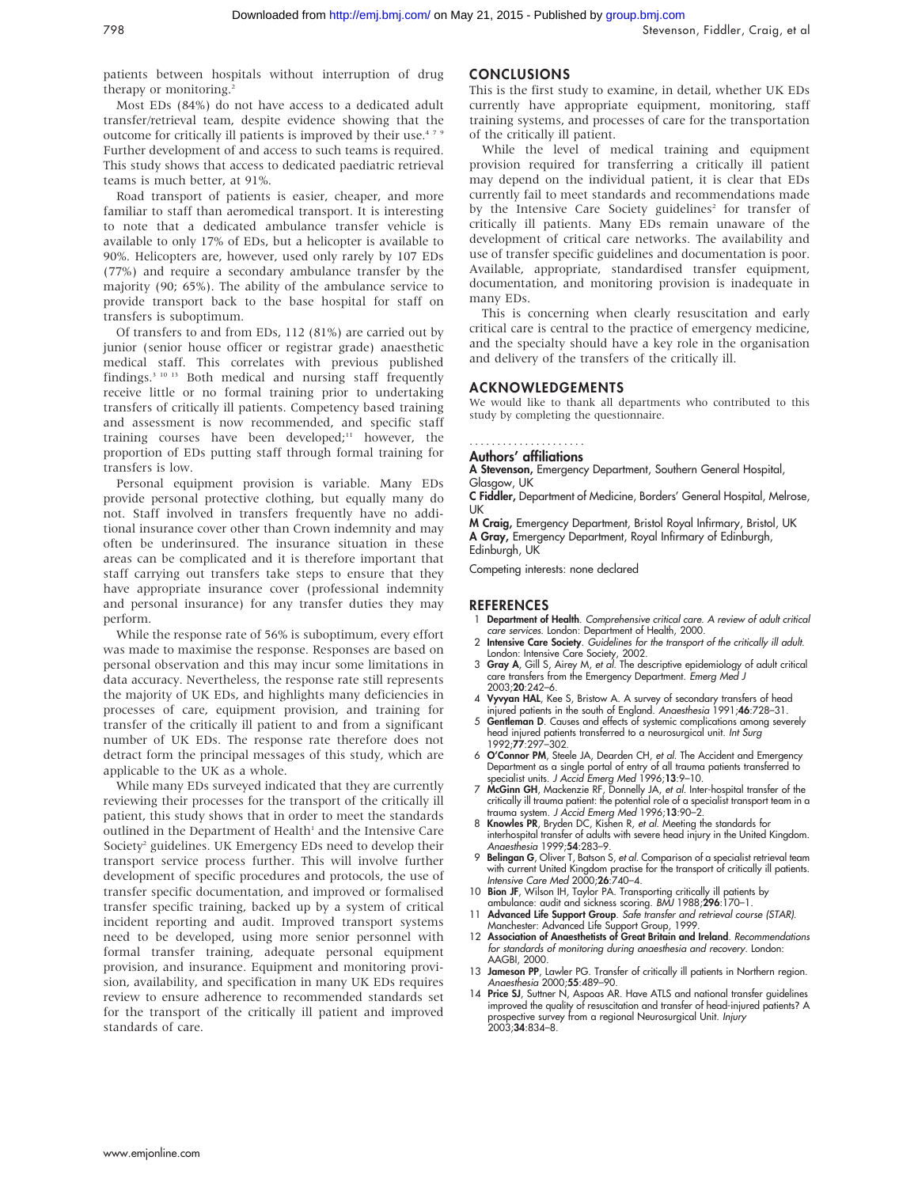patients between hospitals without interruption of drug therapy or monitoring.<sup>2</sup>

Most EDs (84%) do not have access to a dedicated adult transfer/retrieval team, despite evidence showing that the outcome for critically ill patients is improved by their use.<sup>479</sup> Further development of and access to such teams is required. This study shows that access to dedicated paediatric retrieval teams is much better, at 91%.

Road transport of patients is easier, cheaper, and more familiar to staff than aeromedical transport. It is interesting to note that a dedicated ambulance transfer vehicle is available to only 17% of EDs, but a helicopter is available to 90%. Helicopters are, however, used only rarely by 107 EDs (77%) and require a secondary ambulance transfer by the majority (90; 65%). The ability of the ambulance service to provide transport back to the base hospital for staff on transfers is suboptimum.

Of transfers to and from EDs, 112 (81%) are carried out by junior (senior house officer or registrar grade) anaesthetic medical staff. This correlates with previous published findings.3 10 13 Both medical and nursing staff frequently receive little or no formal training prior to undertaking transfers of critically ill patients. Competency based training and assessment is now recommended, and specific staff training courses have been developed;<sup>11</sup> however, the proportion of EDs putting staff through formal training for transfers is low.

Personal equipment provision is variable. Many EDs provide personal protective clothing, but equally many do not. Staff involved in transfers frequently have no additional insurance cover other than Crown indemnity and may often be underinsured. The insurance situation in these areas can be complicated and it is therefore important that staff carrying out transfers take steps to ensure that they have appropriate insurance cover (professional indemnity and personal insurance) for any transfer duties they may perform.

While the response rate of 56% is suboptimum, every effort was made to maximise the response. Responses are based on personal observation and this may incur some limitations in data accuracy. Nevertheless, the response rate still represents the majority of UK EDs, and highlights many deficiencies in processes of care, equipment provision, and training for transfer of the critically ill patient to and from a significant number of UK EDs. The response rate therefore does not detract form the principal messages of this study, which are applicable to the UK as a whole.

While many EDs surveyed indicated that they are currently reviewing their processes for the transport of the critically ill patient, this study shows that in order to meet the standards outlined in the Department of Health<sup>1</sup> and the Intensive Care Society<sup>2</sup> guidelines. UK Emergency EDs need to develop their transport service process further. This will involve further development of specific procedures and protocols, the use of transfer specific documentation, and improved or formalised transfer specific training, backed up by a system of critical incident reporting and audit. Improved transport systems need to be developed, using more senior personnel with formal transfer training, adequate personal equipment provision, and insurance. Equipment and monitoring provision, availability, and specification in many UK EDs requires review to ensure adherence to recommended standards set for the transport of the critically ill patient and improved standards of care.

# CONCLUSIONS

This is the first study to examine, in detail, whether UK EDs currently have appropriate equipment, monitoring, staff training systems, and processes of care for the transportation of the critically ill patient.

While the level of medical training and equipment provision required for transferring a critically ill patient may depend on the individual patient, it is clear that EDs currently fail to meet standards and recommendations made by the Intensive Care Society guidelines<sup>2</sup> for transfer of critically ill patients. Many EDs remain unaware of the development of critical care networks. The availability and use of transfer specific guidelines and documentation is poor. Available, appropriate, standardised transfer equipment, documentation, and monitoring provision is inadequate in many EDs.

This is concerning when clearly resuscitation and early critical care is central to the practice of emergency medicine, and the specialty should have a key role in the organisation and delivery of the transfers of the critically ill.

# ACKNOWLEDGEMENTS

We would like to thank all departments who contributed to this study by completing the questionnaire.

#### Authors' affiliations .....................

A Stevenson, Emergency Department, Southern General Hospital, Glasgow, UK

C Fiddler, Department of Medicine, Borders' General Hospital, Melrose, UK

M Craig, Emergency Department, Bristol Royal Infirmary, Bristol, UK A Gray, Emergency Department, Royal Infirmary of Edinburgh, Edinburgh, UK

Competing interests: none declared

## REFERENCES

- 1 Department of Health. Comprehensive critical care. A review of adult critical care services. London: Department of Health, 2000.
- 
- 2 **Intensive Care Society**. *Guidelines for the transport of the critically ill adult.*<br>London: Intensive Care Society, 2002.<br>3 **Gray A**, Gill S, Airey M, *et al. T*he descriptive epidemiology of adult critical<br>care transf 2003;20:242–6.
- 4 Vyvyan HAL, Kee S, Bristow A. A survey of secondary transfers of head injured patients in the south of England. Anaesthesia 1991;46:728–31.
- 5 Gentleman D. Causes and effects of systemic complications among severely head injured patients transferred to a neurosurgical unit. Int Surg 1992;77:297–302.
- 6 O'Connor PM, Steele JA, Dearden CH, et al. The Accident and Emergency Department as a single portal of entry of all trauma patients transferred to<br>specialist units. *J Accid Emerg Med* 1996;**13:**9–10.<br>7 **McGinn GH**, Mackenzie RF, Donnelly JA, *et al.* Inter-hospital transfer of the
- critically ill trauma patient: the potential role of a specialist transport team in a<br>trauma system. *J Accid Emerg Med* 1996;**13**:90–2.<br>8 **Knowles PR**, Bryden DC, Kishen R, *et al. M*eeting the standards for
- interhospital transfer of adults with severe head injury in the United Kingdom. Anaesthesia 1999:**54**:283–9
- 9 Belingan G, Oliver T, Batson S, et al. Comparison of a specialist retrieval team with current United Kingdom practise for the transport of critically ill patients. Intensive Care Med 2000;26:740–4.
- 10 **Bion JF**, Wilson IH, Taylor PA. Transporting critically ill patients by<br>ambulance: audit and sickness scoring. BMJ 1988;**296**:170–1.<br>11 **Advanced Life Support Group**. Safe transfer and retrieval course (STAR).
- 
- Manchester: Advanced Life Support Group, 1999. 12 Association of Anaesthetists of Great Britain and Ireland. Recommendations for standards of monitoring during anaesthesia and recovery. London: AAGBI, 2000.
- 13 Jameson PP, Lawler PG. Transfer of critically ill patients in Northern region. Anaesthesia 2000;55:489–90.
- 14 Price SJ, Suttner N, Aspoas AR. Have ATLS and national transfer guidelines improved the quality of resuscitation and transfer of head-injured patients? A prospective survey from a regional Neurosurgical Unit. Injury 2003;34:834–8.